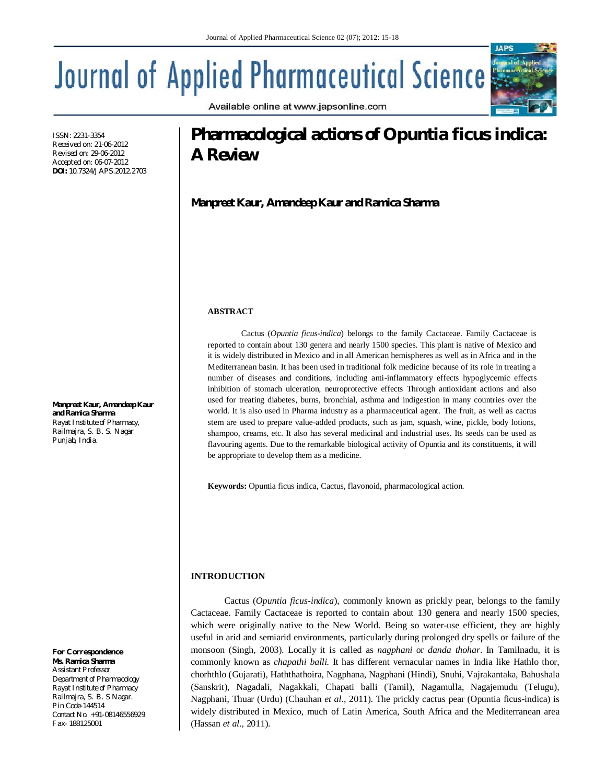# **Journal of Applied Pharmaceutical Science**

Available online at www.japsonline.com

#### ISSN: 2231-3354 Received on: 21-06-2012 Revised on: 29-06-2012 Accepted on: 06-07-2012 **DOI:** 10.7324/JAPS.2012.2703

**Manpreet Kaur, Amandeep Kaur and Ramica Sharma** *Rayat Institute of Pharmacy, Railmajra, S. B. S. Nagar Punjab, India.*

#### *For Correspondence* **Ms. Ramica Sharma**

*Assistant Professor Department of Pharmacology Rayat Institute of Pharmacy Railmajra, S. B. S Nagar. Pin Code-144514 Contact No. +91-08146556929 Fax- 188125001*

# **Pharmacological actions of** *Opuntia ficus indica***: A Review**

**Manpreet Kaur, Amandeep Kaur and Ramica Sharma**

### **ABSTRACT**

Cactus (*Opuntia ficus-indica*) belongs to the family Cactaceae. Family Cactaceae is reported to contain about 130 genera and nearly 1500 species. This plant is native of Mexico and it is widely distributed in Mexico and in all American hemispheres as well as in Africa and in the Mediterranean basin. It has been used in traditional folk medicine because of its role in treating a number of diseases and conditions, including anti-inflammatory effects hypoglycemic effects inhibition of stomach ulceration, neuroprotective effects Through antioxidant actions and also used for treating diabetes, burns, bronchial, asthma and indigestion in many countries over the world. It is also used in Pharma industry as a pharmaceutical agent. The fruit, as well as cactus stem are used to prepare value-added products, such as jam, squash, wine, pickle, body lotions, shampoo, creams, etc. It also has several medicinal and industrial uses. Its seeds can be used as flavouring agents. Due to the remarkable biological activity of Opuntia and its constituents, it will be appropriate to develop them as a medicine.

**Keywords:** Opuntia ficus indica, Cactus, flavonoid, pharmacological action.

## **INTRODUCTION**

Cactus (*Opuntia ficus-indica*), commonly known as prickly pear, belongs to the family Cactaceae. Family Cactaceae is reported to contain about 130 genera and nearly 1500 species, which were originally native to the New World. Being so water-use efficient, they are highly useful in arid and semiarid environments, particularly during prolonged dry spells or failure of the monsoon (Singh, 2003). Locally it is called as *nagphani* or *danda thohar*. In Tamilnadu, it is commonly known as *chapathi balli.* It has different vernacular names in India like Hathlo thor, chorhthlo (Gujarati), Haththathoira, Nagphana, Nagphani (Hindi), Snuhi, Vajrakantaka, Bahushala (Sanskrit), Nagadali, Nagakkali, Chapati balli (Tamil), Nagamulla, Nagajemudu (Telugu), Nagphani, Thuar (Urdu) (Chauhan *et al.,* 2011). The prickly cactus pear (Opuntia ficus-indica) is widely distributed in Mexico, much of Latin America, South Africa and the Mediterranean area (Hassan *et al.,* 2011).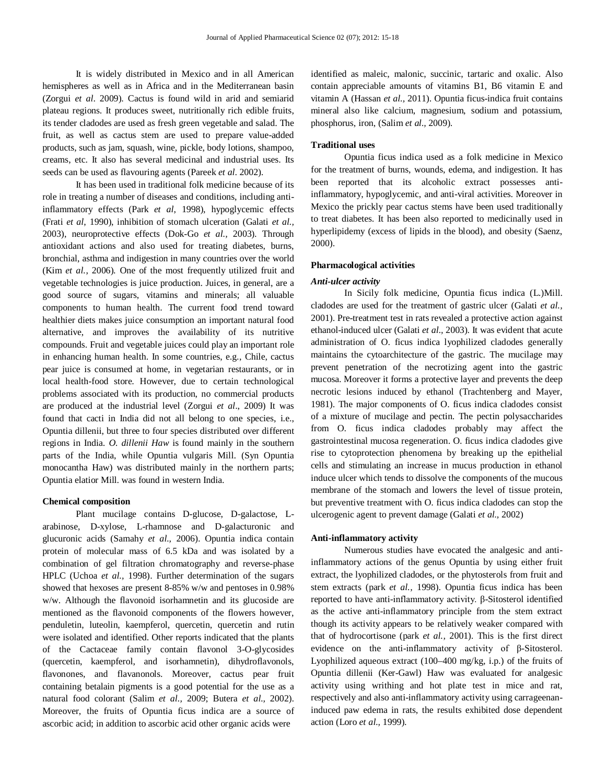It is widely distributed in Mexico and in all American hemispheres as well as in Africa and in the Mediterranean basin (Zorgui *et al*. 2009). Cactus is found wild in arid and semiarid plateau regions. It produces sweet, nutritionally rich edible fruits, its tender cladodes are used as fresh green vegetable and salad. The fruit, as well as cactus stem are used to prepare value-added products, such as jam, squash, wine, pickle, body lotions, shampoo, creams, etc. It also has several medicinal and industrial uses. Its seeds can be used as flavouring agents (Pareek *et al*. 2002).

It has been used in traditional folk medicine because of its role in treating a number of diseases and conditions, including antiinflammatory effects (Park *et al*, 1998), hypoglycemic effects (Frati *et al*, 1990), inhibition of stomach ulceration (Galati *et al.,*  2003), neuroprotective effects (Dok-Go *et al.,* 2003). Through antioxidant actions and also used for treating diabetes, burns, bronchial, asthma and indigestion in many countries over the world (Kim *et al.*, 2006). One of the most frequently utilized fruit and vegetable technologies is juice production. Juices, in general, are a good source of sugars, vitamins and minerals; all valuable components to human health. The current food trend toward healthier diets makes juice consumption an important natural food alternative, and improves the availability of its nutritive compounds. Fruit and vegetable juices could play an important role in enhancing human health. In some countries, e.g., Chile, cactus pear juice is consumed at home, in vegetarian restaurants, or in local health-food store. However, due to certain technological problems associated with its production, no commercial products are produced at the industrial level (Zorgui *et al*., 2009) It was found that cacti in India did not all belong to one species, i.e., Opuntia dillenii, but three to four species distributed over different regions in India. *O. dillenii Haw* is found mainly in the southern parts of the India, while Opuntia vulgaris Mill. (Syn Opuntia monocantha Haw) was distributed mainly in the northern parts; Opuntia elatior Mill. was found in western India.

#### **Chemical composition**

Plant mucilage contains D-glucose, D-galactose, Larabinose, D-xylose, L-rhamnose and D-galacturonic and glucuronic acids (Samahy *et al.,* 2006). Opuntia indica contain protein of molecular mass of 6.5 kDa and was isolated by a combination of gel filtration chromatography and reverse-phase HPLC (Uchoa *et al.,* 1998). Further determination of the sugars showed that hexoses are present 8-85% w/w and pentoses in 0.98% w/w. Although the flavonoid isorhamnetin and its glucoside are mentioned as the flavonoid components of the flowers however, penduletin, luteolin, kaempferol, quercetin, quercetin and rutin were isolated and identified. Other reports indicated that the plants of the Cactaceae family contain flavonol 3-O-glycosides (quercetin, kaempferol, and isorhamnetin), dihydroflavonols, flavonones, and flavanonols. Moreover, cactus pear fruit containing betalain pigments is a good potential for the use as a natural food colorant (Salim *et al.,* 2009; Butera *et al.,* 2002). Moreover, the fruits of Opuntia ficus indica are a source of ascorbic acid; in addition to ascorbic acid other organic acids were

identified as maleic, malonic, succinic, tartaric and oxalic. Also contain appreciable amounts of vitamins B1, B6 vitamin E and vitamin A (Hassan *et al.,* 2011). Opuntia ficus-indica fruit contains mineral also like calcium, magnesium, sodium and potassium, phosphorus, iron, (Salim *et al.,* 2009).

#### **Traditional uses**

Opuntia ficus indica used as a folk medicine in Mexico for the treatment of burns, wounds, edema, and indigestion. It has been reported that its alcoholic extract possesses antiinflammatory, hypoglycemic, and anti-viral activities. Moreover in Mexico the prickly pear cactus stems have been used traditionally to treat diabetes. It has been also reported to medicinally used in hyperlipidemy (excess of lipids in the blood), and obesity (Saenz, 2000).

#### **Pharmacological activities**

#### *Anti-ulcer activity*

In Sicily folk medicine, Opuntia ficus indica (L.)Mill. cladodes are used for the treatment of gastric ulcer (Galati *et al.,*  2001). Pre-treatment test in rats revealed a protective action against ethanol-induced ulcer (Galati *et al.,* 2003). It was evident that acute administration of O. ficus indica lyophilized cladodes generally maintains the cytoarchitecture of the gastric. The mucilage may prevent penetration of the necrotizing agent into the gastric mucosa. Moreover it forms a protective layer and prevents the deep necrotic lesions induced by ethanol (Trachtenberg and Mayer, 1981). The major components of O. ficus indica cladodes consist of a mixture of mucilage and pectin. The pectin polysaccharides from O. ficus indica cladodes probably may affect the gastrointestinal mucosa regeneration. O. ficus indica cladodes give rise to cytoprotection phenomena by breaking up the epithelial cells and stimulating an increase in mucus production in ethanol induce ulcer which tends to dissolve the components of the mucous membrane of the stomach and lowers the level of tissue protein, but preventive treatment with O. ficus indica cladodes can stop the ulcerogenic agent to prevent damage (Galati *et al.,* 2002)

#### **Anti-inflammatory activity**

Numerous studies have evocated the analgesic and antiinflammatory actions of the genus Opuntia by using either fruit extract, the lyophilized cladodes, or the phytosterols from fruit and stem extracts (park *et al.,* 1998). Opuntia ficus indica has been reported to have anti-inflammatory activity. β-Sitosterol identified as the active anti-inflammatory principle from the stem extract though its activity appears to be relatively weaker compared with that of hydrocortisone (park *et al.,* 2001). This is the first direct evidence on the anti-inflammatory activity of β-Sitosterol. Lyophilized aqueous extract (100–400 mg/kg, i.p.) of the fruits of Opuntia dillenii (Ker-Gawl) Haw was evaluated for analgesic activity using writhing and hot plate test in mice and rat, respectively and also anti-inflammatory activity using carrageenaninduced paw edema in rats, the results exhibited dose dependent action (Loro *et al.,* 1999).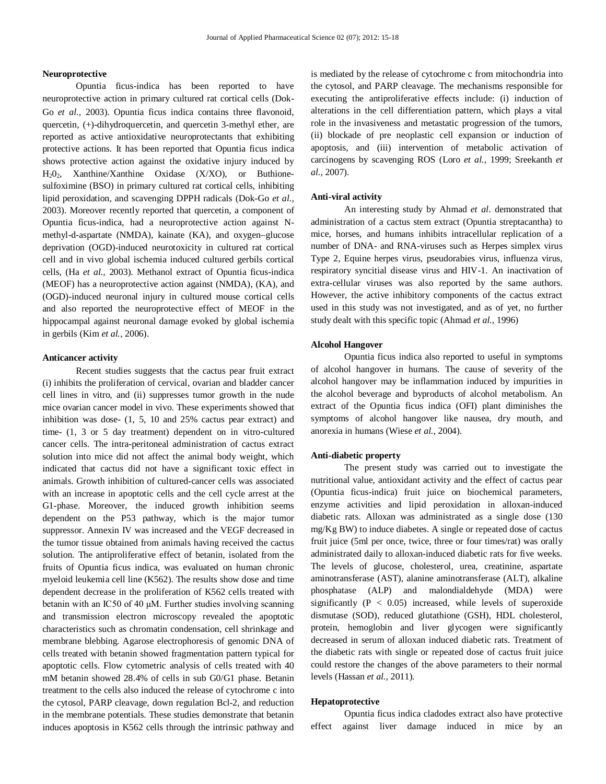#### **Neuroprotective**

Opuntia ficus-indica has been reported to have neuroprotective action in primary cultured rat cortical cells (Dok- Go *et al.,* 2003). Opuntia ficus indica contains three flavonoid, quercetin, (+)-dihydroquercetin, and quercetin 3-methyl ether, are reported as active antioxidative neuroprotectants that exhibiting protective actions. It has been reported that Opuntia ficus indica shows protective action against the oxidative injury induced by H202, Xanthine/Xanthine Oxidase (X/XO), or Buthionesulfoximine (BSO) in primary cultured rat cortical cells, inhibiting lipid peroxidation, and scavenging DPPH radicals (Dok-Go *et al.,*  2003). Moreover recently reported that quercetin, a component of Opuntia ficus-indica, had a neuroprotective action against Nmethyl-d-aspartate (NMDA), kainate (KA), and oxygen–glucose deprivation (OGD)-induced neurotoxicity in cultured rat cortical cell and in vivo global ischemia induced cultured gerbils cortical cells, (Ha *et al.,* 2003). Methanol extract of Opuntia ficus-indica (MEOF) has a neuroprotective action against (NMDA), (KA), and (OGD)-induced neuronal injury in cultured mouse cortical cells and also reported the neuroprotective effect of MEOF in the hippocampal against neuronal damage evoked by global ischemia in gerbils (Kim *et al.,* 2006).

#### **Anticancer activity**

Recent studies suggests that the cactus pear fruit extract (i) inhibits the proliferation of cervical, ovarian and bladder cancer cell lines in vitro, and (ii) suppresses tumor growth in the nude mice ovarian cancer model in vivo. These experiments showed that inhibition was dose- (1, 5, 10 and 25% cactus pear extract) and time- (1, 3 or 5 day treatment) dependent on in vitro-cultured cancer cells. The intra-peritoneal administration of cactus extract solution into mice did not affect the animal body weight, which indicated that cactus did not have a significant toxic effect in animals. Growth inhibition of cultured-cancer cells was associated with an increase in apoptotic cells and the cell cycle arrest at the G1-phase. Moreover, the induced growth inhibition seems dependent on the P53 pathway, which is the major tumor suppressor. Annexin IV was increased and the VEGF decreased in the tumor tissue obtained from animals having received the cactus solution. The antiproliferative effect of betanin, isolated from the fruits of Opuntia ficus indica, was evaluated on human chronic myeloid leukemia cell line (K562). The results show dose and time dependent decrease in the proliferation of K562 cells treated with betanin with an IC50 of 40 μM. Further studies involving scanning and transmission electron microscopy revealed the apoptotic characteristics such as chromatin condensation, cell shrinkage and membrane blebbing. Agarose electrophoresis of genomic DNA of cells treated with betanin showed fragmentation pattern typical for apoptotic cells. Flow cytometric analysis of cells treated with 40 mM betanin showed 28.4% of cells in sub G0/G1 phase. Betanin treatment to the cells also induced the release of cytochrome c into the cytosol, PARP cleavage, down regulation Bcl-2, and reduction in the membrane potentials. These studies demonstrate that betanin induces apoptosis in K562 cells through the intrinsic pathway and is mediated by the release of cytochrome c from mitochondria into the cytosol, and PARP cleavage. The mechanisms responsible for executing the antiproliferative effects include: (i) induction of alterations in the cell differentiation pattern, which plays a vital role in the invasiveness and metastatic progression of the tumors, (ii) blockade of pre neoplastic cell expansion or induction of apoptosis, and (iii) intervention of metabolic activation of carcinogens by scavenging ROS (Loro *et al.,* 1999; Sreekanth *et al.,* 2007).

#### **Anti-viral activity**

An interesting study by Ahmad *et al*. demonstrated that administration of a cactus stem extract (Opuntia streptacantha) to mice, horses, and humans inhibits intracellular replication of a number of DNA- and RNA-viruses such as Herpes simplex virus Type 2, Equine herpes virus, pseudorabies virus, influenza virus, respiratory syncitial disease virus and HIV-1. An inactivation of extra-cellular viruses was also reported by the same authors. However, the active inhibitory components of the cactus extract used in this study was not investigated, and as of yet, no further study dealt with this specific topic (Ahmad *et al.,* 1996)

#### **Alcohol Hangover**

Opuntia ficus indica also reported to useful in symptoms of alcohol hangover in humans. The cause of severity of the alcohol hangover may be inflammation induced by impurities in the alcohol beverage and byproducts of alcohol metabolism. An extract of the Opuntia ficus indica (OFI) plant diminishes the symptoms of alcohol hangover like nausea, dry mouth, and anorexia in humans (Wiese *et al.,* 2004).

#### **Anti-diabetic property**

The present study was carried out to investigate the nutritional value, antioxidant activity and the effect of cactus pear (Opuntia ficus-indica) fruit juice on biochemical parameters, enzyme activities and lipid peroxidation in alloxan-induced diabetic rats. Alloxan was administrated as a single dose (130 mg/Kg BW) to induce diabetes. A single or repeated dose of cactus fruit juice (5ml per once, twice, three or four times/rat) was orally administrated daily to alloxan-induced diabetic rats for five weeks. The levels of glucose, cholesterol, urea, creatinine, aspartate aminotransferase (AST), alanine aminotransferase (ALT), alkaline phosphatase (ALP) and malondialdehyde (MDA) were significantly  $(P < 0.05)$  increased, while levels of superoxide dismutase (SOD), reduced glutathione (GSH), HDL cholesterol, protein, hemoglobin and liver glycogen were significantly decreased in serum of alloxan induced diabetic rats. Treatment of the diabetic rats with single or repeated dose of cactus fruit juice could restore the changes of the above parameters to their normal levels (Hassan *et al.,* 2011).

#### **Hepatoprotective**

Opuntia ficus indica cladodes extract also have protective effect against liver damage induced in mice by an